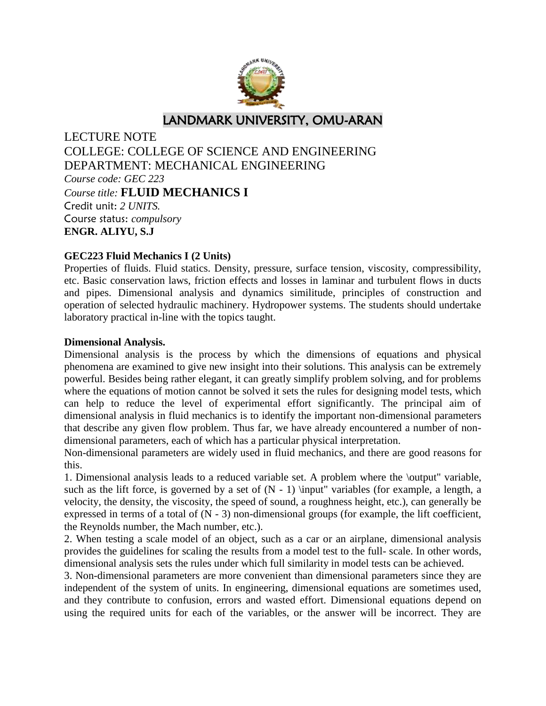

LANDMARK UNIVERSITY, OMU-ARAN

LECTURE NOTE COLLEGE: COLLEGE OF SCIENCE AND ENGINEERING DEPARTMENT: MECHANICAL ENGINEERING *Course code: GEC 223 Course title:* **FLUID MECHANICS I** Credit unit: *2 UNITS.* Course status: *compulsory* **ENGR. ALIYU, S.J**

#### **GEC223 Fluid Mechanics I (2 Units)**

Properties of fluids. Fluid statics. Density, pressure, surface tension, viscosity, compressibility, etc. Basic conservation laws, friction effects and losses in laminar and turbulent flows in ducts and pipes. Dimensional analysis and dynamics similitude, principles of construction and operation of selected hydraulic machinery. Hydropower systems. The students should undertake laboratory practical in-line with the topics taught.

#### **Dimensional Analysis.**

Dimensional analysis is the process by which the dimensions of equations and physical phenomena are examined to give new insight into their solutions. This analysis can be extremely powerful. Besides being rather elegant, it can greatly simplify problem solving, and for problems where the equations of motion cannot be solved it sets the rules for designing model tests, which can help to reduce the level of experimental effort significantly. The principal aim of dimensional analysis in fluid mechanics is to identify the important non-dimensional parameters that describe any given flow problem. Thus far, we have already encountered a number of nondimensional parameters, each of which has a particular physical interpretation.

Non-dimensional parameters are widely used in fluid mechanics, and there are good reasons for this.

1. Dimensional analysis leads to a reduced variable set. A problem where the \output" variable, such as the lift force, is governed by a set of  $(N - 1)$  \input" variables (for example, a length, a velocity, the density, the viscosity, the speed of sound, a roughness height, etc.), can generally be expressed in terms of a total of  $(N - 3)$  non-dimensional groups (for example, the lift coefficient, the Reynolds number, the Mach number, etc.).

2. When testing a scale model of an object, such as a car or an airplane, dimensional analysis provides the guidelines for scaling the results from a model test to the full- scale. In other words, dimensional analysis sets the rules under which full similarity in model tests can be achieved.

3. Non-dimensional parameters are more convenient than dimensional parameters since they are independent of the system of units. In engineering, dimensional equations are sometimes used, and they contribute to confusion, errors and wasted effort. Dimensional equations depend on using the required units for each of the variables, or the answer will be incorrect. They are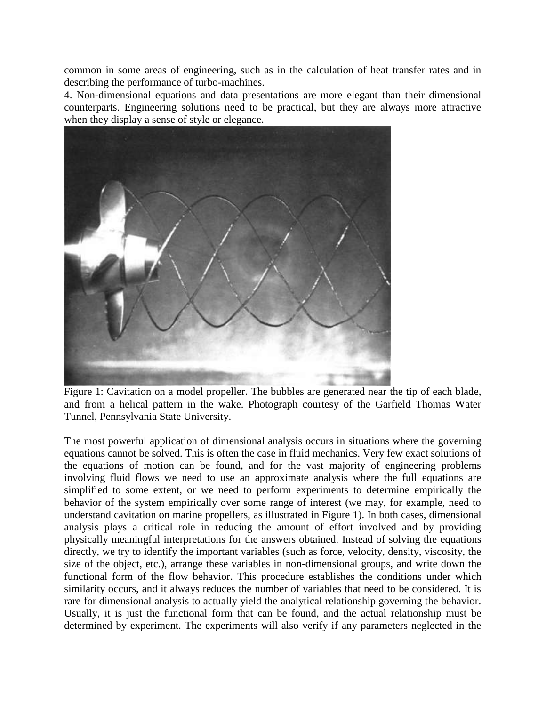common in some areas of engineering, such as in the calculation of heat transfer rates and in describing the performance of turbo-machines.

4. Non-dimensional equations and data presentations are more elegant than their dimensional counterparts. Engineering solutions need to be practical, but they are always more attractive when they display a sense of style or elegance.



Figure 1: Cavitation on a model propeller. The bubbles are generated near the tip of each blade, and from a helical pattern in the wake. Photograph courtesy of the Garfield Thomas Water Tunnel, Pennsylvania State University.

The most powerful application of dimensional analysis occurs in situations where the governing equations cannot be solved. This is often the case in fluid mechanics. Very few exact solutions of the equations of motion can be found, and for the vast majority of engineering problems involving fluid flows we need to use an approximate analysis where the full equations are simplified to some extent, or we need to perform experiments to determine empirically the behavior of the system empirically over some range of interest (we may, for example, need to understand cavitation on marine propellers, as illustrated in Figure 1). In both cases, dimensional analysis plays a critical role in reducing the amount of effort involved and by providing physically meaningful interpretations for the answers obtained. Instead of solving the equations directly, we try to identify the important variables (such as force, velocity, density, viscosity, the size of the object, etc.), arrange these variables in non-dimensional groups, and write down the functional form of the flow behavior. This procedure establishes the conditions under which similarity occurs, and it always reduces the number of variables that need to be considered. It is rare for dimensional analysis to actually yield the analytical relationship governing the behavior. Usually, it is just the functional form that can be found, and the actual relationship must be determined by experiment. The experiments will also verify if any parameters neglected in the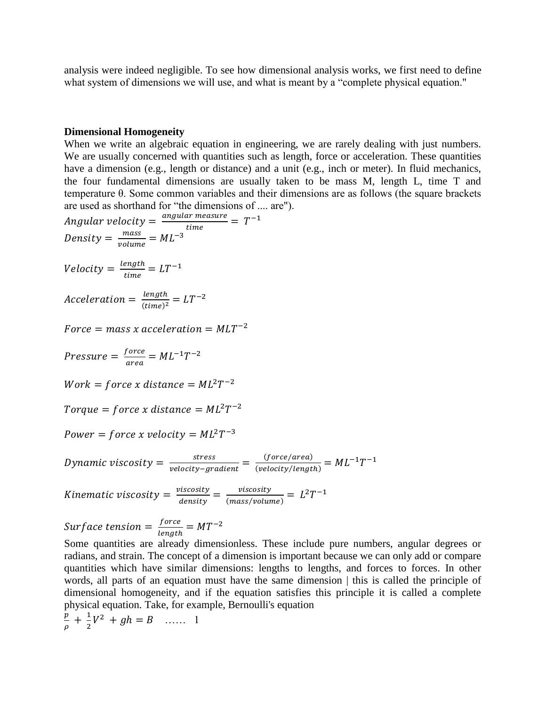analysis were indeed negligible. To see how dimensional analysis works, we first need to define what system of dimensions we will use, and what is meant by a "complete physical equation."

#### **Dimensional Homogeneity**

When we write an algebraic equation in engineering, we are rarely dealing with just numbers. We are usually concerned with quantities such as length, force or acceleration. These quantities have a dimension (e.g., length or distance) and a unit (e.g., inch or meter). In fluid mechanics, the four fundamental dimensions are usually taken to be mass M, length L, time T and temperature θ. Some common variables and their dimensions are as follows (the square brackets are used as shorthand for "the dimensions of .... are").

Angular velocity =  $\frac{a}{\tau}$  $\frac{ar \, measure}{time} = T^{-}$ Density =  $\frac{m}{m}$  $\frac{mass}{volume} = ML^{-}$ Velocity  $= \frac{l}{\tau}$  $\frac{engtn}{time} = LT^{-}$ Acceleration =  $\frac{l}{c}$  $(time)^2$ <sup>-</sup> Force = mass x acceleration =  $MLT^-$ Pressure  $=\frac{f}{f}$  $\frac{force}{area} = ML^{-1}T^{-}$  $Work = force x distance = ML^{2}T^{-}$ Torque = force x distance =  $ML^2T^-$ Power = force x velocity =  $ML^2T^-$ Dynamic viscosity =  $\frac{s}{\text{velocity}}$  $\frac{stress}{velocity - gradient} = \frac{(force/area)}{(velocity/length)}$  $\frac{(Jorce/area)}{(velocity/length)} = ML^{-1}T^{-1}$ Kinematic viscosity =  $\frac{v}{\cdot}$  $\frac{viscosity}{density} = \frac{v}{(ma)}$  $\frac{viscosity}{(mass/volume)} = L^2 T^{-}$ Surface tension  $=\frac{f}{\hbar}$  $\frac{force}{length} = MT^{-}$ 

Some quantities are already dimensionless. These include pure numbers, angular degrees or radians, and strain. The concept of a dimension is important because we can only add or compare quantities which have similar dimensions: lengths to lengths, and forces to forces. In other words, all parts of an equation must have the same dimension | this is called the principle of dimensional homogeneity, and if the equation satisfies this principle it is called a complete physical equation. Take, for example, Bernoulli's equation

 $\overline{p}$  $\frac{p}{\rho} + \frac{1}{2}$  $\frac{1}{2}V^2 + gh = B$  ...... 1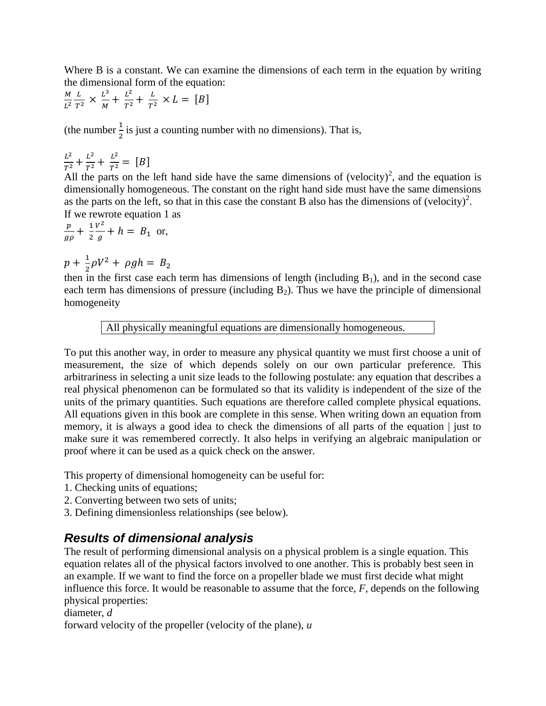Where B is a constant. We can examine the dimensions of each term in the equation by writing the dimensional form of the equation:

$$
\frac{M}{L^2} \frac{L}{T^2} \times \frac{L^3}{M} + \frac{L^2}{T^2} + \frac{L}{T^2} \times L = [B]
$$

(the number  $\frac{1}{2}$  is just a counting number with no dimensions). That is,

$$
\frac{L^2}{T^2} + \frac{L^2}{T^2} + \frac{L^2}{T^2} = [B]
$$

All the parts on the left hand side have the same dimensions of (velocity)<sup>2</sup>, and the equation is dimensionally homogeneous. The constant on the right hand side must have the same dimensions as the parts on the left, so that in this case the constant B also has the dimensions of (velocity)<sup>2</sup>. If we rewrote equation 1 as

$$
\frac{p}{g\rho} + \frac{1}{2}\frac{V^2}{g} + h = B_1
$$
 or,

$$
p + \frac{1}{2}\rho V^2 + \rho gh = B_2
$$

then in the first case each term has dimensions of length (including  $B_1$ ), and in the second case each term has dimensions of pressure (including  $B_2$ ). Thus we have the principle of dimensional homogeneity

#### All physically meaningful equations are dimensionally homogeneous.

To put this another way, in order to measure any physical quantity we must first choose a unit of measurement, the size of which depends solely on our own particular preference. This arbitrariness in selecting a unit size leads to the following postulate: any equation that describes a real physical phenomenon can be formulated so that its validity is independent of the size of the units of the primary quantities. Such equations are therefore called complete physical equations. All equations given in this book are complete in this sense. When writing down an equation from memory, it is always a good idea to check the dimensions of all parts of the equation | just to make sure it was remembered correctly. It also helps in verifying an algebraic manipulation or proof where it can be used as a quick check on the answer.

This property of dimensional homogeneity can be useful for:

- 1. Checking units of equations;
- 2. Converting between two sets of units;
- 3. Defining dimensionless relationships (see below).

# *Results of dimensional analysis*

The result of performing dimensional analysis on a physical problem is a single equation. This equation relates all of the physical factors involved to one another. This is probably best seen in an example. If we want to find the force on a propeller blade we must first decide what might influence this force. It would be reasonable to assume that the force, *F*, depends on the following physical properties:

diameter, *d*

forward velocity of the propeller (velocity of the plane), *u*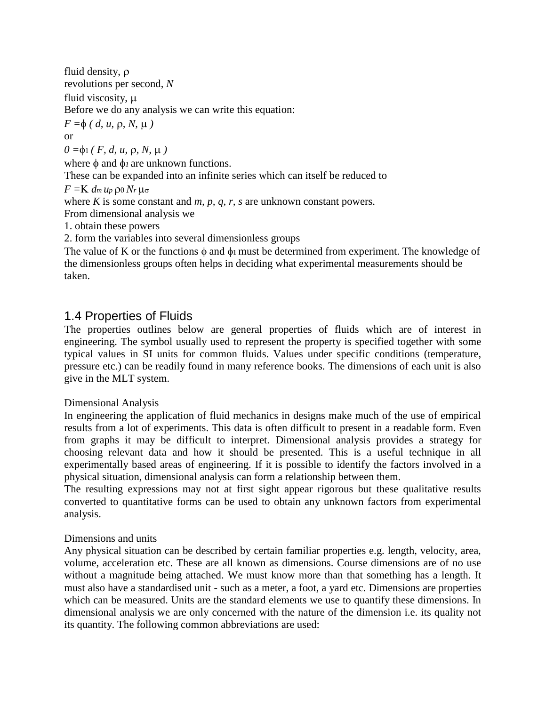fluid density,  $\rho$ revolutions per second, *N* fluid viscosity,  $\mu$ Before we do any analysis we can write this equation:  $F = \phi$  (*d, u, p, N, µ)* or  $0 = \phi_1(F, d, u, \rho, N, \mu)$ where  $\phi$  and  $\phi$ *l* are unknown functions. These can be expanded into an infinite series which can itself be reduced to  $F = K \, dm \, u_p \, \rho \theta \, N_r \, \mu \sigma$ where *K* is some constant and *m, p, q, r, s* are unknown constant powers.

From dimensional analysis we

1. obtain these powers

2. form the variables into several dimensionless groups

The value of K or the functions  $\phi$  and  $\phi$  must be determined from experiment. The knowledge of the dimensionless groups often helps in deciding what experimental measurements should be taken.

## 1.4 Properties of Fluids

The properties outlines below are general properties of fluids which are of interest in engineering. The symbol usually used to represent the property is specified together with some typical values in SI units for common fluids. Values under specific conditions (temperature, pressure etc.) can be readily found in many reference books. The dimensions of each unit is also give in the MLT system.

#### Dimensional Analysis

In engineering the application of fluid mechanics in designs make much of the use of empirical results from a lot of experiments. This data is often difficult to present in a readable form. Even from graphs it may be difficult to interpret. Dimensional analysis provides a strategy for choosing relevant data and how it should be presented. This is a useful technique in all experimentally based areas of engineering. If it is possible to identify the factors involved in a physical situation, dimensional analysis can form a relationship between them.

The resulting expressions may not at first sight appear rigorous but these qualitative results converted to quantitative forms can be used to obtain any unknown factors from experimental analysis.

#### Dimensions and units

Any physical situation can be described by certain familiar properties e.g. length, velocity, area, volume, acceleration etc. These are all known as dimensions. Course dimensions are of no use without a magnitude being attached. We must know more than that something has a length. It must also have a standardised unit - such as a meter, a foot, a yard etc. Dimensions are properties which can be measured. Units are the standard elements we use to quantify these dimensions. In dimensional analysis we are only concerned with the nature of the dimension i.e. its quality not its quantity. The following common abbreviations are used: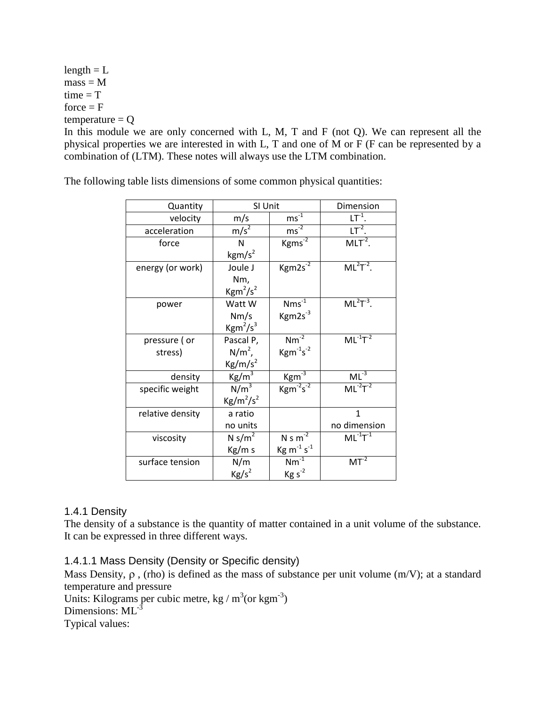$length = L$  $mass = M$  $time = T$ force  $=$   $F$ temperature  $= Q$ 

In this module we are only concerned with  $L$ ,  $M$ ,  $T$  and  $F$  (not  $Q$ ). We can represent all the physical properties we are interested in with L, T and one of M or F (F can be represented by a combination of (LTM). These notes will always use the LTM combination.

The following table lists dimensions of some common physical quantities:

| Quantity         | SI Unit                    |                    | Dimension       |
|------------------|----------------------------|--------------------|-----------------|
| velocity         | m/s                        | $ms^{-1}$          | $LT^{-1}$ .     |
| acceleration     | m/s <sup>2</sup>           | $ms^{-2}$          | $LT-2$ .        |
| force            | N                          | Kgms $^{-2}$       | $MLT2$ .        |
|                  | kgm/s <sup>2</sup>         |                    |                 |
| energy (or work) | Joule J                    | $Kg m 2s^{-2}$     | $ML2T-2$ .      |
|                  | Nm,                        |                    |                 |
|                  | $Kgm^2/s^2$                |                    |                 |
| power            | Watt W                     | $Nms^{-1}$         | $ML2T-3$ .      |
|                  | Nm/s                       | $Kg$ m $2s^{-3}$   |                 |
|                  | $Kgm^2/s^3$                |                    |                 |
| pressure (or     | Pascal P,                  | $Nm^{-2}$          | $ML^{-1}T^{-2}$ |
| stress)          | $N/m2$ ,                   | $Kgm^{-1}s^{-2}$   |                 |
|                  | Kg/m/s <sup>2</sup>        |                    |                 |
| density          | $\frac{1}{\text{kg/m}^3}$  | $Kgm^{-3}$         | $ML^{-3}$       |
| specific weight  | $N/m^3$                    | $Kgm^{-2}s^{-2}$   | $ML^{-2}T^{-2}$ |
|                  | $\text{Kg/m}^2/\text{s}^2$ |                    |                 |
| relative density | a ratio                    |                    | 1               |
|                  | no units                   |                    | no dimension    |
| viscosity        | N s/ $m^2$                 | $N s m-2$          | $ML^{-1}T^{-1}$ |
|                  | Kg/m s                     | $Kg m^{-1} s^{-1}$ |                 |
| surface tension  | N/m                        | $Nm^{-1}$          | $MT^{-2}$       |
|                  | $Kg/s^2$                   | $Kg s^{-2}$        |                 |

### 1.4.1 Density

The density of a substance is the quantity of matter contained in a unit volume of the substance. It can be expressed in three different ways.

1.4.1.1 Mass Density (Density or Specific density)

Mass Density,  $\rho$ , (rho) is defined as the mass of substance per unit volume (m/V); at a standard temperature and pressure Units: Kilograms per cubic metre, kg /  $m^3$  (or kgm<sup>-3</sup>) Dimensions: ML<sup>-3</sup>

Typical values: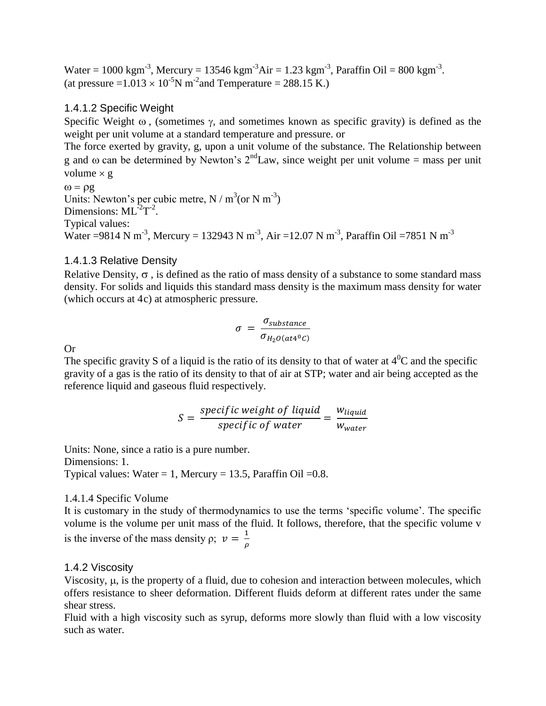Water = 1000 kgm<sup>-3</sup>, Mercury = 13546 kgm<sup>-3</sup>Air = 1.23 kgm<sup>-3</sup>, Paraffin Oil = 800 kgm<sup>-3</sup>. (at pressure =  $1.013 \times 10^{-5}$ N m<sup>-2</sup>and Temperature = 288.15 K.)

#### 1.4.1.2 Specific Weight

Specific Weight  $\omega$ , (sometimes  $\gamma$ , and sometimes known as specific gravity) is defined as the weight per unit volume at a standard temperature and pressure. or

The force exerted by gravity, g, upon a unit volume of the substance. The Relationship between g and  $\omega$  can be determined by Newton's  $2<sup>nd</sup>$  Law, since weight per unit volume = mass per unit volume  $\times$  g

 $\omega = \rho g$ Units: Newton's per cubic metre,  $N / m<sup>3</sup>(or N m<sup>-3</sup>)$ Dimensions:  $ML^{-2}T^{-2}$ . Typical values: Water =9814 N m<sup>-3</sup>, Mercury = 132943 N m<sup>-3</sup>, Air =12.07 N m<sup>-3</sup>, Paraffin Oil =7851 N m<sup>-3</sup>

#### 1.4.1.3 Relative Density

Relative Density,  $\sigma$ , is defined as the ratio of mass density of a substance to some standard mass density. For solids and liquids this standard mass density is the maximum mass density for water (which occurs at 4c) at atmospheric pressure.

$$
\sigma = \frac{\sigma_{\text{substance}}}{\sigma_{H_2O(at4^0C)}}
$$

Or

The specific gravity S of a liquid is the ratio of its density to that of water at  $4^0C$  and the specific gravity of a gas is the ratio of its density to that of air at STP; water and air being accepted as the reference liquid and gaseous fluid respectively.

$$
S = \frac{specific \ weight \ of \ liquid}{specific \ of \ water} = \frac{w_{liquid}}{w_{water}}
$$

Units: None, since a ratio is a pure number.

Dimensions: 1.

Typical values: Water = 1, Mercury = 13.5, Paraffin Oil =  $0.8$ .

1.4.1.4 Specific Volume

It is customary in the study of thermodynamics to use the terms "specific volume". The specific volume is the volume per unit mass of the fluid. It follows, therefore, that the specific volume v is the inverse of the mass density  $\rho$ ;  $v = \frac{1}{\rho}$  $\rho$ 

### 1.4.2 Viscosity

Viscosity,  $\mu$ , is the property of a fluid, due to cohesion and interaction between molecules, which offers resistance to sheer deformation. Different fluids deform at different rates under the same shear stress.

Fluid with a high viscosity such as syrup, deforms more slowly than fluid with a low viscosity such as water.